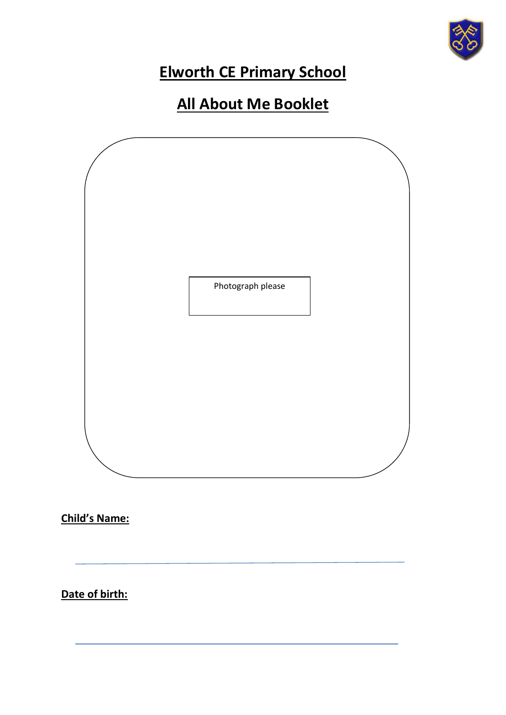

## **Elworth CE Primary School**

## **All About Me Booklet**



**Child's Name:**

**Date of birth:**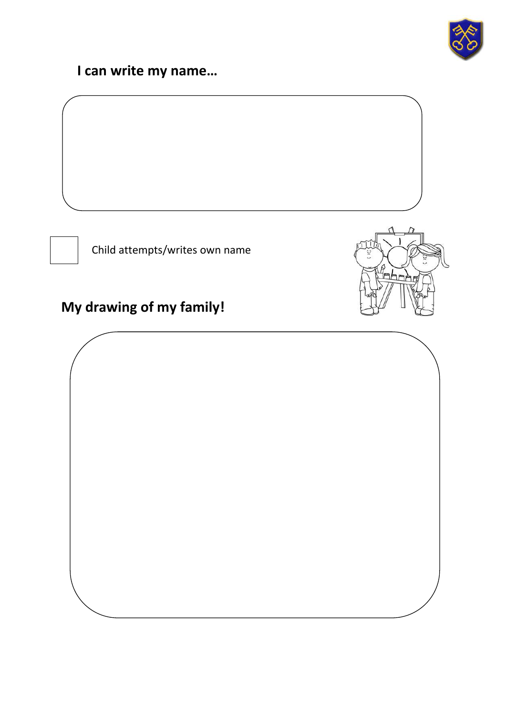

mhe

## **I can write my name…**

Child attempts/writes own name

## **My drawing of my family!**

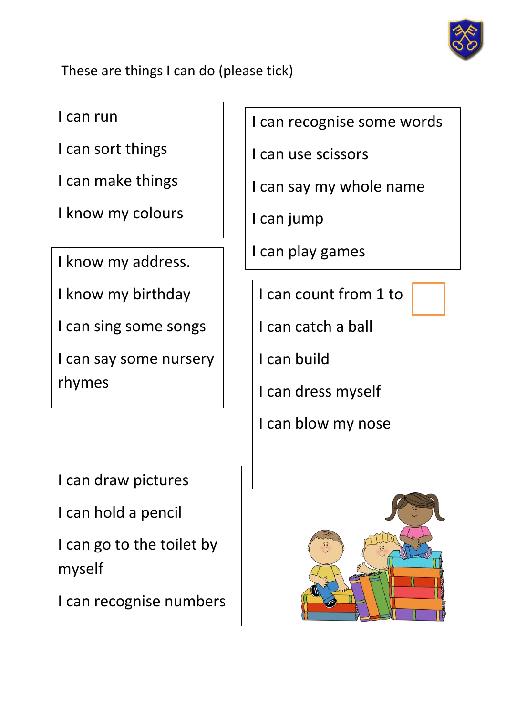

These are things I can do (please tick)

I can run

I can sort things

I can make things

I know my colours

I know my address.

I know my birthday

I can sing some songs

I can say some nursery rhymes

I can draw pictures

I can hold a pencil

I can go to the toilet by myself

I can recognise numbers

I can recognise some words

I can use scissors

I can say my whole name

I can jump

I can play games

I can count from 1 to

I can catch a ball

I can build

I can dress myself

I can blow my nose

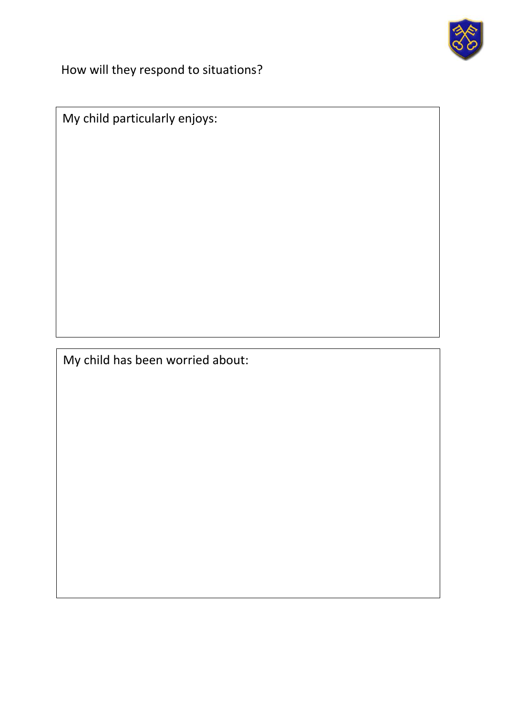

How will they respond to situations?

My child particularly enjoys:

My child has been worried about: